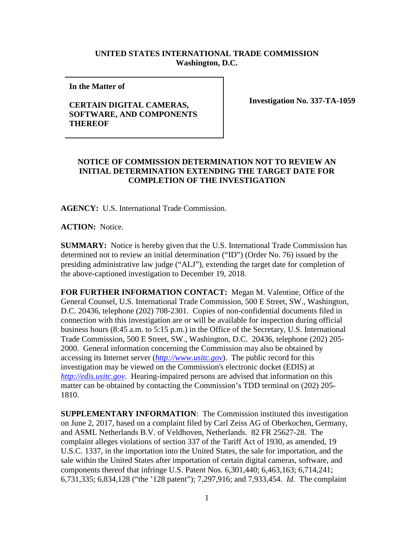## **UNITED STATES INTERNATIONAL TRADE COMMISSION Washington, D.C.**

**In the Matter of** 

## **CERTAIN DIGITAL CAMERAS, SOFTWARE, AND COMPONENTS THEREOF**

**Investigation No. 337-TA-1059**

## **NOTICE OF COMMISSION DETERMINATION NOT TO REVIEW AN INITIAL DETERMINATION EXTENDING THE TARGET DATE FOR COMPLETION OF THE INVESTIGATION**

**AGENCY:** U.S. International Trade Commission.

**ACTION:** Notice.

**SUMMARY:** Notice is hereby given that the U.S. International Trade Commission has determined not to review an initial determination ("ID") (Order No. 76) issued by the presiding administrative law judge ("ALJ"), extending the target date for completion of the above-captioned investigation to December 19, 2018.

**FOR FURTHER INFORMATION CONTACT:** Megan M. Valentine, Office of the General Counsel, U.S. International Trade Commission, 500 E Street, SW., Washington, D.C. 20436, telephone (202) 708-2301. Copies of non-confidential documents filed in connection with this investigation are or will be available for inspection during official business hours (8:45 a.m. to 5:15 p.m.) in the Office of the Secretary, U.S. International Trade Commission, 500 E Street, SW., Washington, D.C. 20436, telephone (202) 205- 2000. General information concerning the Commission may also be obtained by accessing its Internet server (*[http://www.usitc.gov](http://www.usitc.gov/)*). The public record for this investigation may be viewed on the Commission's electronic docket (EDIS) at *[http://edis.usitc.gov](http://edis.usitc.gov/)*. Hearing-impaired persons are advised that information on this matter can be obtained by contacting the Commission's TDD terminal on (202) 205- 1810.

**SUPPLEMENTARY INFORMATION**: The Commission instituted this investigation on June 2, 2017, based on a complaint filed by Carl Zeiss AG of Oberkochen, Germany, and ASML Netherlands B.V. of Veldhoven, Netherlands. 82 FR 25627-28. The complaint alleges violations of section 337 of the Tariff Act of 1930, as amended, 19 U.S.C. 1337, in the importation into the United States, the sale for importation, and the sale within the United States after importation of certain digital cameras, software, and components thereof that infringe U.S. Patent Nos. 6,301,440; 6,463,163; 6,714,241; 6,731,335; 6,834,128 ("the '128 patent"); 7,297,916; and 7,933,454. *Id.* The complaint